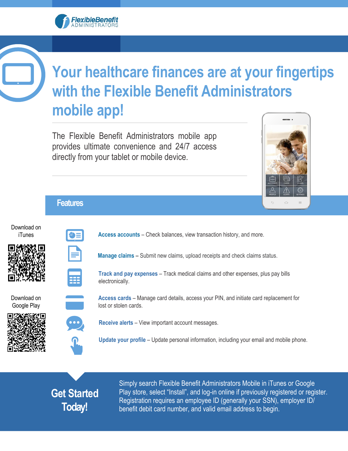## FlexibleBenefit



## **Your healthcare finances are at your fingertips with the Flexible Benefit Administrators mobile app!**

The Flexible Benefit Administrators mobile app provides ultimate convenience and 24/7 access directly from your tablet or mobile device.



#### **Features**

Download on iTunes





**Access accounts** – Check balances, view transaction history, and more.

**Manage claims** – Submit new claims, upload receipts and check claims status.

**Track and pay expenses** – Track medical claims and other expenses, plus pay bills electronically.

Download on Google Play





**Access cards** – Manage card details, access your PIN, and initiate card replacement for lost or stolen cards.

**Receive alerts** – View important account messages.

**Update your profile** – Update personal information, including your email and mobile phone.

### **Get Started Today!**

Simply search Flexible Benefit Administrators Mobile in iTunes or Google Play store, select "Install", and log-in online if previously registered or register. Registration requires an employee ID (generally your SSN), employer ID/ benefit debit card number, and valid email address to begin.